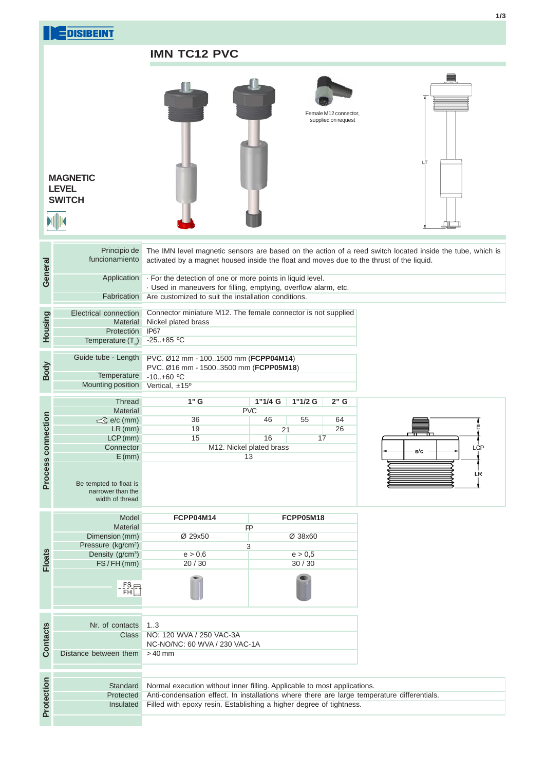|                    | <b>EDISIBEINT</b>                                                                |                                                                                                                                                                                                                                                | 1/3 |  |  |  |  |  |  |  |
|--------------------|----------------------------------------------------------------------------------|------------------------------------------------------------------------------------------------------------------------------------------------------------------------------------------------------------------------------------------------|-----|--|--|--|--|--|--|--|
|                    |                                                                                  | <b>IMN TC12 PVC</b>                                                                                                                                                                                                                            |     |  |  |  |  |  |  |  |
|                    | <b>MAGNETIC</b><br><b>LEVEL</b><br><b>SWITCH</b>                                 | Female M12 connector,<br>supplied on request<br>LT                                                                                                                                                                                             |     |  |  |  |  |  |  |  |
|                    | Principio de<br>funcionamiento                                                   | The IMN level magnetic sensors are based on the action of a reed switch located inside the tube, which is<br>activated by a magnet housed inside the float and moves due to the thrust of the liquid.                                          |     |  |  |  |  |  |  |  |
| General            | Application                                                                      | · For the detection of one or more points in liquid level.<br>· Used in maneuvers for filling, emptying, overflow alarm, etc.                                                                                                                  |     |  |  |  |  |  |  |  |
| Housing            | Fabrication<br>Electrical connection<br><b>Material</b>                          | Are customized to suit the installation conditions.<br>Connector miniature M12. The female connector is not supplied<br>Nickel plated brass                                                                                                    |     |  |  |  |  |  |  |  |
|                    | Protectión<br>Temperature $(T_{s})$                                              | IP67<br>$-25+85$ °C                                                                                                                                                                                                                            |     |  |  |  |  |  |  |  |
| Body               | Guide tube - Length<br>Temperature<br>Mounting position                          | PVC. Ø12 mm - 1001500 mm (FCPP04M14)<br>PVC. Ø16 mm - 15003500 mm (FCPP05M18)<br>$-10.+60$ °C<br>Vertical, ±15°                                                                                                                                |     |  |  |  |  |  |  |  |
| Process connection | <b>Thread</b><br><b>Material</b><br>$\subset\subset$ e/c (mm)                    | $2"$ G<br>$1"$ G<br>1"1/2 G<br>$1"1/4$ G<br><b>PVC</b><br>36<br>55<br>64<br>46<br>Е                                                                                                                                                            |     |  |  |  |  |  |  |  |
|                    | $LR$ (mm)<br>$LCP$ (mm)<br>Connector<br>$E$ (mm)                                 | 26<br>19<br>21<br>15<br>16<br>17<br>M12. Nickel plated brass<br>LCP<br>e/c<br>13                                                                                                                                                               |     |  |  |  |  |  |  |  |
|                    | Be tempted to float is<br>narrower than the<br>width of thread                   | LR                                                                                                                                                                                                                                             |     |  |  |  |  |  |  |  |
|                    | Model<br><b>Material</b>                                                         | FCPP04M14<br>FCPP05M18<br>PP                                                                                                                                                                                                                   |     |  |  |  |  |  |  |  |
|                    | Dimension (mm)<br>Pressure (kg/cm <sup>2</sup> )<br>Density (g/cm <sup>3</sup> ) | Ø 29x50<br>Ø 38x60<br>3<br>e > 0,6<br>e > 0,5                                                                                                                                                                                                  |     |  |  |  |  |  |  |  |
| <b>Floats</b>      | FS/FH(mm)                                                                        | 20 / 30<br>30/30                                                                                                                                                                                                                               |     |  |  |  |  |  |  |  |
|                    | $-\frac{FS}{FH}$                                                                 |                                                                                                                                                                                                                                                |     |  |  |  |  |  |  |  |
| <b>Contacts</b>    | Nr. of contacts<br>Class<br>Distance between them                                | 13<br>NO: 120 WVA / 250 VAC-3A<br>NC-NO/NC: 60 WVA / 230 VAC-1A<br>$>40$ mm                                                                                                                                                                    |     |  |  |  |  |  |  |  |
| Protection         | Standard<br>Protected<br>Insulated                                               | Normal execution without inner filling. Applicable to most applications.<br>Anti-condensation effect. In installations where there are large temperature differentials.<br>Filled with epoxy resin. Establishing a higher degree of tightness. |     |  |  |  |  |  |  |  |
|                    |                                                                                  |                                                                                                                                                                                                                                                |     |  |  |  |  |  |  |  |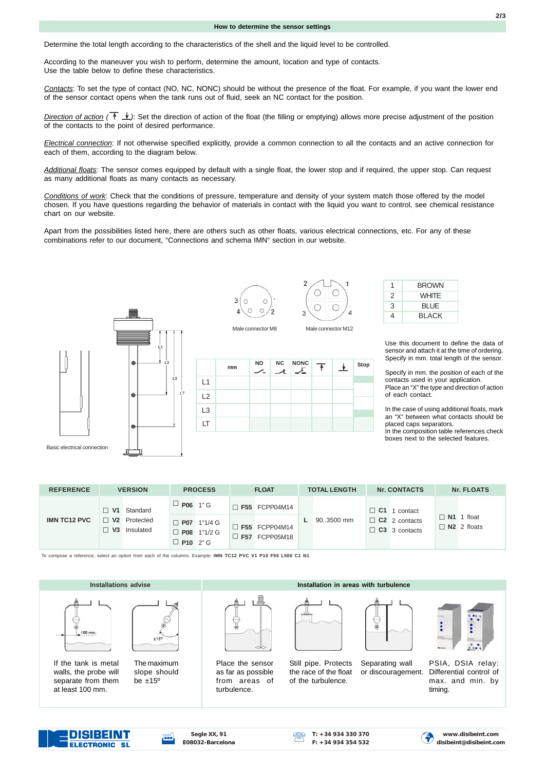Determine the total length according to the characteristics of the shell and the liquid level to be controlled.

According to the maneuver you wish to perform, determine the amount, location and type of contacts. Use the table below to define these characteristics.

*Contacts*: To set the type of contact (NO, NC, NONC) should be without the presence of the float. For example, if you want the lower end of the sensor contact opens when the tank runs out of fluid, seek an NC contact for the position.

*Direction of action* ( $\uparrow \downarrow$ ): Set the direction of action of the float (the filling or emptying) allows more precise adjustment of the position of the contacts to the point of desired performance.

*Electrical connection*: If not otherwise specified explicitly, provide a common connection to all the contacts and an active connection for each of them, according to the diagram below.

*Additional floats*: The sensor comes equipped by default with a single float, the lower stop and if required, the upper stop. Can request as many additional floats as many contacts as necessary.

*Conditions of work*: Check that the conditions of pressure, temperature and density of your system match those offered by the model chosen. If you have questions regarding the behavior of materials in contact with the liquid you want to control, see chemical resistance chart on our website.

Apart from the possibilities listed here, there are others such as other floats, various electrical connections, etc. For any of these combinations refer to our document, "Connections and schema IMN" section in our website.



**ELECTRONIC SL** 





**NO NC NONC**

 $\overline{\phantom{a}}$ 

Male connector M8 Male connector M12

┸

**mm**



↴

**Stop**

 $\downarrow$ 

| 1 | <b>BROWN</b> |
|---|--------------|
| 2 | <b>WHITF</b> |
| 3 | <b>BLUE</b>  |
| 4 | <b>BLACK</b> |

Use this document to define the data of sensor and attach it at the time of ordering. Specify in mm. total length of the sensor.

Specify in mm. the position of each of the contacts used in your application. Place an "X" the type and direction of action of each contact.

In the case of using additional floats, mark an "X" between what contacts should be placed caps separators.

In the composition table references check boxes next to the selected features.

| <b>REFERENCE</b>    | <b>VERSION</b> |                                            | <b>PROCESS</b>  |                                     | <b>FLOAT</b> |                                              | <b>TOTAL LENGTH</b> |            | <b>Nr. CONTACTS</b> |                                                                     | Nr. FLOATS  |                             |
|---------------------|----------------|--------------------------------------------|-----------------|-------------------------------------|--------------|----------------------------------------------|---------------------|------------|---------------------|---------------------------------------------------------------------|-------------|-----------------------------|
|                     |                | $\Box$ V1 Standard                         | $\Box$ P06 1" G |                                     |              | $\Box$ F55 FCPP04M14                         |                     |            |                     | $\Box$ C1 1 contact<br>$\Box$ C2 2 contacts<br>$\Box$ C3 3 contacts | <b>N1</b> 1 | float<br>$\Box$ N2 2 floats |
| <b>IMN TC12 PVC</b> |                | $\Box$ V2 Protected<br>$\Box$ V3 Insulated | $\Box$ P10 2" G | $\Box$ P07 1"1/4 G<br>□ P08 1"1/2 G |              | $\Box$ F55 FCPP04M14<br>$\Box$ F57 FCPP05M18 |                     | 90.3500 mm |                     |                                                                     |             |                             |

To compose a reference, select an option from each of the columns. Example: **IMN TC12 PVC V1 P10 F55 L500 C1 N1**